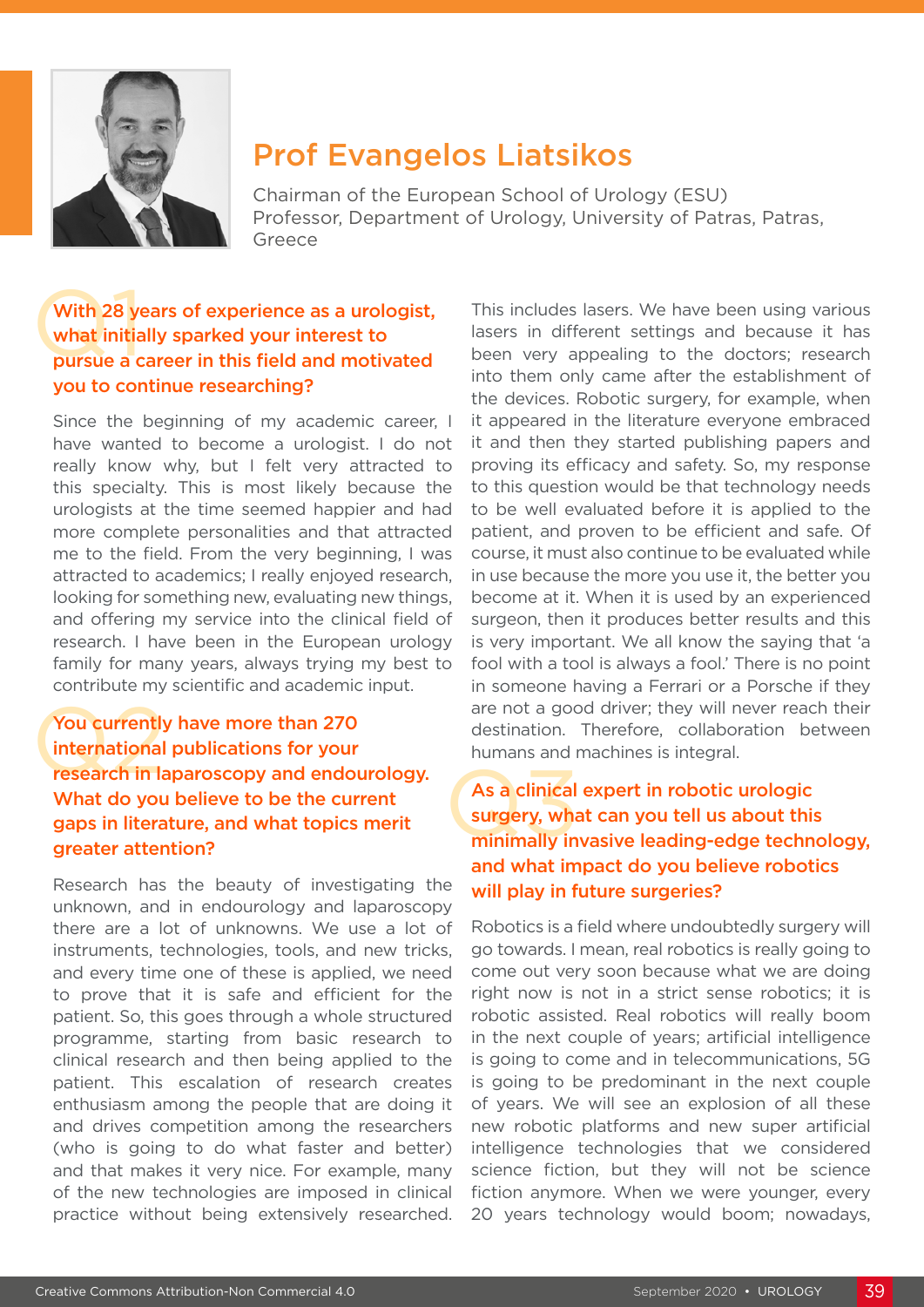

# Prof Evangelos Liatsikos

Chairman of the European School of Urology (ESU) Professor, Department of Urology, University of Patras, Patras, Greece

### With 28 ye<br>what initia<br>pursue a c With 28 years of experience as a urologist, what initially sparked your interest to pursue a career in this field and motivated you to continue researching?

Since the beginning of my academic career. I have wanted to become a urologist. I do not really know why, but I felt very attracted to this specialty. This is most likely because the urologists at the time seemed happier and had more complete personalities and that attracted me to the field. From the very beginning, I was attracted to academics; I really enjoyed research, looking for something new, evaluating new things, and offering my service into the clinical field of research. I have been in the European urology family for many years, always trying my best to contribute my scientific and academic input.

### Fractional publications for your<br>
The mational publications for your<br>
The mation in laparoscopy and endourology.<br>
What do you believe to be the current<br>
gaps in literature, and what topics merit<br>
gaps in literature, and wh You currently have more than 270 international publications for your research in laparoscopy and endourology. What do you believe to be the current gaps in literature, and what topics merit greater attention?

Research has the beauty of investigating the unknown, and in endourology and laparoscopy there are a lot of unknowns. We use a lot of instruments, technologies, tools, and new tricks, and every time one of these is applied, we need to prove that it is safe and efficient for the patient. So, this goes through a whole structured programme, starting from basic research to clinical research and then being applied to the patient. This escalation of research creates enthusiasm among the people that are doing it and drives competition among the researchers (who is going to do what faster and better) and that makes it very nice. For example, many of the new technologies are imposed in clinical practice without being extensively researched.

This includes lasers. We have been using various lasers in different settings and because it has been very appealing to the doctors; research into them only came after the establishment of the devices. Robotic surgery, for example, when it appeared in the literature everyone embraced it and then they started publishing papers and proving its efficacy and safety. So, my response to this question would be that technology needs to be well evaluated before it is applied to the patient, and proven to be efficient and safe. Of course, it must also continue to be evaluated while in use because the more you use it, the better you become at it. When it is used by an experienced surgeon, then it produces better results and this is very important. We all know the saying that 'a fool with a tool is always a fool.' There is no point in someone having a Ferrari or a Porsche if they are not a good driver; they will never reach their destination. Therefore, collaboration between humans and machines is integral.

# As a clinical expert in robotic urologic surgery, what can you tell us about this minimally invasive leading-edge technology, and what impact do you believe robotics will play in future surgeries?

Robotics is a field where undoubtedly surgery will go towards. I mean, real robotics is really going to come out very soon because what we are doing right now is not in a strict sense robotics; it is robotic assisted. Real robotics will really boom in the next couple of years; artificial intelligence is going to come and in telecommunications, 5G is going to be predominant in the next couple of years. We will see an explosion of all these new robotic platforms and new super artificial intelligence technologies that we considered science fiction, but they will not be science fiction anymore. When we were younger, every 20 years technology would boom; nowadays,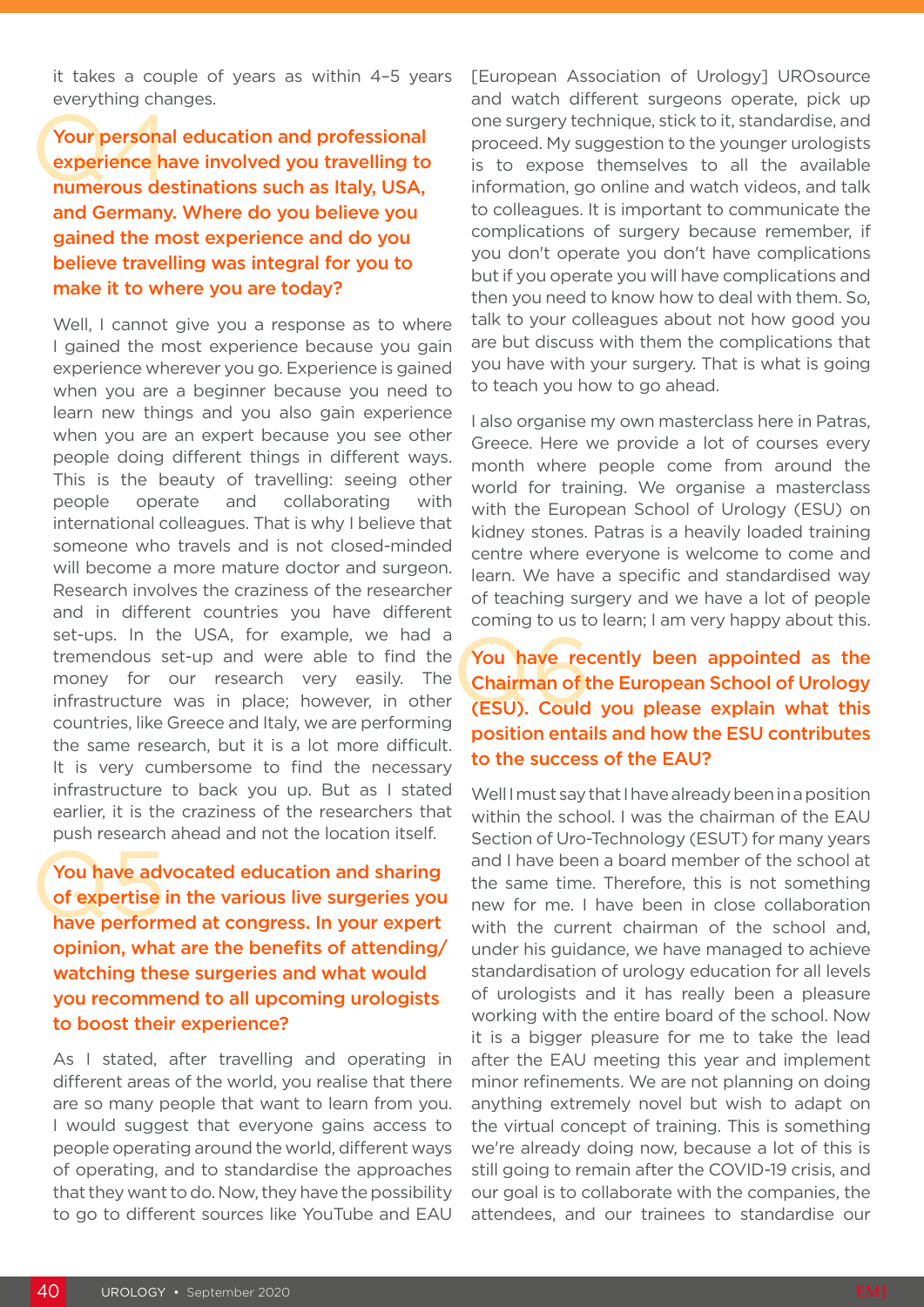it takes a couple of years as within 4–5 years everything changes.

Your persona<br>experience ha<br>numerous de Your personal education and professional experience have involved you travelling to numerous destinations such as Italy, USA, and Germany. Where do you believe you gained the most experience and do you believe travelling was integral for you to make it to where you are today?

Well, I cannot give you a response as to where I gained the most experience because you gain experience wherever you go. Experience is gained when you are a beginner because you need to learn new things and you also gain experience when you are an expert because you see other people doing different things in different ways. This is the beauty of travelling: seeing other people operate and collaborating with international colleagues. That is why I believe that someone who travels and is not closed-minded will become a more mature doctor and surgeon. Research involves the craziness of the researcher and in different countries you have different set-ups. In the USA, for example, we had a tremendous set-up and were able to find the money for our research very easily. The infrastructure was in place; however, in other countries, like Greece and Italy, we are performing the same research, but it is a lot more difficult. It is very cumbersome to find the necessary infrastructure to back you up. But as I stated earlier, it is the craziness of the researchers that push research ahead and not the location itself.

You have adv<br>of expertise<br>have perform You have advocated education and sharing of expertise in the various live surgeries you have performed at congress. In your expert opinion, what are the benefits of attending/ watching these surgeries and what would you recommend to all upcoming urologists to boost their experience?

As I stated, after travelling and operating in different areas of the world, you realise that there are so many people that want to learn from you. I would suggest that everyone gains access to people operating around the world, different ways of operating, and to standardise the approaches that they want to do. Now, they have the possibility to go to different sources like YouTube and EAU

[European Association of Urology] UROsource and watch different surgeons operate, pick up one surgery technique, stick to it, standardise, and proceed. My suggestion to the younger urologists is to expose themselves to all the available information, go online and watch videos, and talk to colleagues. It is important to communicate the complications of surgery because remember, if you don't operate you don't have complications but if you operate you will have complications and then you need to know how to deal with them. So, talk to your colleagues about not how good you are but discuss with them the complications that you have with your surgery. That is what is going to teach you how to go ahead.

I also organise my own masterclass here in Patras, Greece. Here we provide a lot of courses every month where people come from around the world for training. We organise a masterclass with the European School of Urology (ESU) on kidney stones. Patras is a heavily loaded training centre where everyone is welcome to come and learn. We have a specific and standardised way of teaching surgery and we have a lot of people coming to us to learn; I am very happy about this.

## You have red<br>Chairman of t<br>(ESU). Could You have recently been appointed as the Chairman of the European School of Urology (ESU). Could you please explain what this position entails and how the ESU contributes to the success of the EAU?

Well I must say that I have already been in a position within the school. I was the chairman of the EAU Section of Uro-Technology (ESUT) for many years and I have been a board member of the school at the same time. Therefore, this is not something new for me. I have been in close collaboration with the current chairman of the school and. under his guidance, we have managed to achieve standardisation of urology education for all levels of urologists and it has really been a pleasure working with the entire board of the school. Now it is a bigger pleasure for me to take the lead after the EAU meeting this year and implement minor refinements. We are not planning on doing anything extremely novel but wish to adapt on the virtual concept of training. This is something we're already doing now, because a lot of this is still going to remain after the COVID-19 crisis, and our goal is to collaborate with the companies, the attendees, and our trainees to standardise our